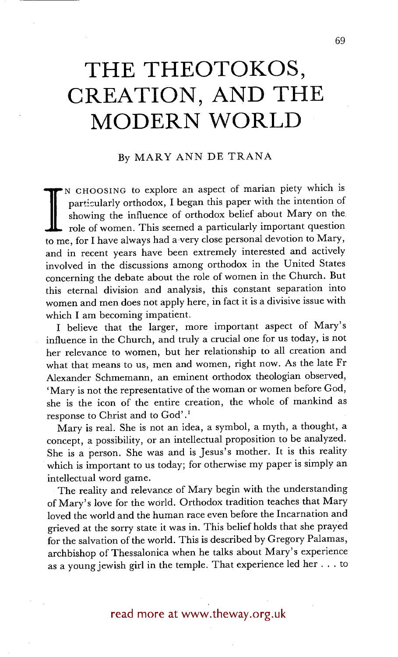## **THE THEOTOKOS, CREATION, AND THE MODERN WORLD**

## By MARY ANN DE TRANA

showing the influence of orthodox belief about Mary on the role of women. This seemed a particularly important question to me, for I have always had a very close personal devotion to Mary, N CHOOSING tO explore an aspect of marian piety which is particularly orthodox, I began this paper with the intention of showing the influence of orthodox belief about Mary on the role of women. This seemed a particularly important question and in recent years have been extremely interested and actively involved in the discussions among orthodox in the United States concerning the debate about the role of women in the Church. But this eternal division and analysis, this constant separation into women and men does not apply here, in fact it is a divisive issue with which I am becoming impatient.

I believe that the larger, more important aspect of Mary's influence in the Church, and truly a crucial one for us today, is not her relevance to women, but her relationship to all creation and what that means to us, men and women, right now. As the late Fr Alexander Schmemann, an eminent orthodox theologian observed, 'Mary is not the representative of the woman or women before God, she is the icon of the entire creation, the whole of mankind as response to Christ and to God'.<sup>1</sup>

Mary is real. She is not an idea, a symbol, a myth, a thought, a concept, a possibility, or an intellectual proposition to be analyzed. She is a person. She was and is Jesus's mother. It is this reality which is important to us today; for otherwise my paper is simply an intellectual word game.

The reality and relevance of Mary begin with the understanding of Mary's love for the world. Orthodox tradition teaches that Mary loved the world and the human race even before the Incarnation and grieved at the sorry state it was in. This belief holds that she prayed for the salvation of the world. This is described by Gregory Palamas, archbishop of Thessalonica when he talks about Mary's experience as a young jewish girl in the temple. That experience led her.., to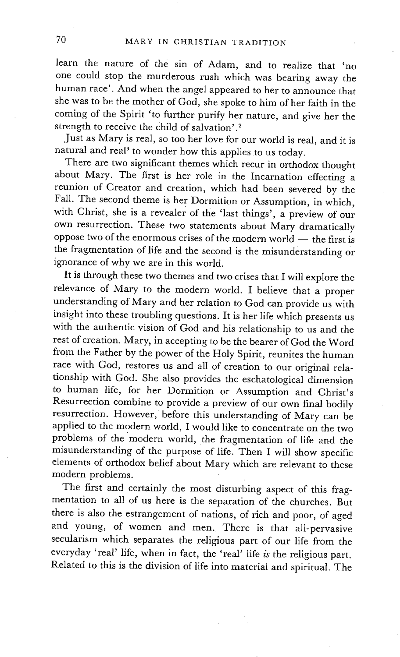learn the nature of the sin of Adam, and to realize that 'no one could stop the murderous rush which was bearing away the human race'. And when the angel appeared to her to announce that she was to be the mother of God, she spoke to him of her faith in the coming of the Spirit 'to further purify her nature, and give her the strength to receive the child of salvation'.<sup>2</sup>

Just as Mary is real, so too her love for our world is real, and it is natural and real<sup>3</sup> to wonder how this applies to us today.

There are two significant themes which recur in orthodox thought about Mary. The first is her role in the Incarnation effecting a reunion of Creator and creation, which had been severed by the Fall. The second theme is her Dormition or Assumption, in which, with Christ, she is a revealer of the 'last things', a preview of our own resurrection. These two statements about Mary dramatically oppose two of the enormous crises of the modern world  $-$  the first is the fragmentation of life and the second is the misunderstanding or ignorance of why we are in this world.

It is through these two themes and two crises that I will explore the relevance of Mary to the modern world. I believe that a proper understanding of Mary and her relation to God can provide us with insight into these troubling questions. It is her life which presents us with the authentic vision of God and his relationship to us and the rest of creation. Mary, in accepting to be the bearer of God the Word from the Father by the power of the Holy Spirit, reunites the human race with God, restores us and all of creation to our original relationship with God. She also provides the eschatological dimension to human life, for her Dormition or Assumption and Christ's Resurrection combine to provide a preview of our own final bodily resurrection. However, before this understanding of Mary can be applied to the modern world, I would like to concentrate on the two problems of the modern world, the fragmentation of life and the misunderstanding of the purpose of life. Then I will show specific elements of orthodox belief about Mary which are relevant to these modern problems.

The first and certainly the most disturbing aspect of this fragmentation to all of us here is the separation of the churches. But there is also the estrangement of nations, of rich and poor, of aged and young, of women and men. There is that all-pervasive secularism which separates the religious part of our life from the everyday 'real' life, when in fact, the 'real' life *is* the religious part. Related to this is the division of life into material and spiritual. The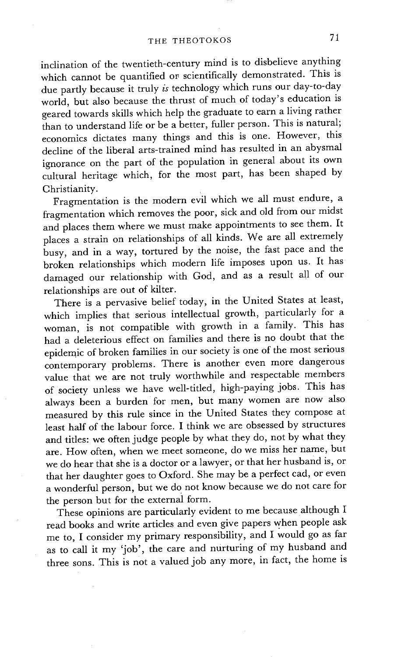inclination of the twentieth-century mind is to disbelieve anything which cannot be quantified or scientifically demonstrated. This is due partly because it truly *is* technology which runs our day-to-day world, but also because the thrust of much of today's education is geared towards skills which help the graduate to earn a living rather than to understand life or be a better, fuller person. This is natural; economics dictates many things and this is one. However, this decline of the liberal arts-trained mind has resulted in an abysmal ignorance on the part of the population in general about its own cultural heritage which, for the most part, has been shaped by Christianity.

Fragmentation is the modern evil which we all must endure, a fragmentation which removes the poor, sick and old from our midst and places them where we must make appointments to see them. It places a strain on relationships of all kinds. We are all extremely busy, and in a way, tortured by the noise, the fast pace and the broken relationships which modern life imposes upon us. It has damaged our relationship with God, and as a result all of our relationships are out of kilter.

There is a pervasive belief today, in the United States at least, which implies that serious intellectual growth, particularly for a woman, is not compatible with growth in a family. This has had a deleterious effect on families and there is no doubt that the epidemic of broken families in our society is one of the most serious contemporary problems. There is another even more dangerous value that we are not truly worthwhile and respectable members of society unless we have well-titled, high-paying jobs. This has always been a burden for men, but many women are now also measured by this rule since in the United States they compose at least half of the labour force. I think we are obsessed by structures and titles: we often judge people by what they do, not by what they are. How often, when we meet someone, do we miss her name, but we do hear that she is a doctor or a lawyer, or that her husband is, or that her daughter goes to Oxford. She may be a perfect cad, or even a wonderful person, but we do not know because we do not care for the person but for the external form.

These opinions are particularly evident to me because although I read books and write articles and even give papers when people ask me to, I consider my primary responsibility, and I would go as far as to call it my 'job', the care and nurturing of my husband and three sons. This is not a valued job any more, in fact, the home is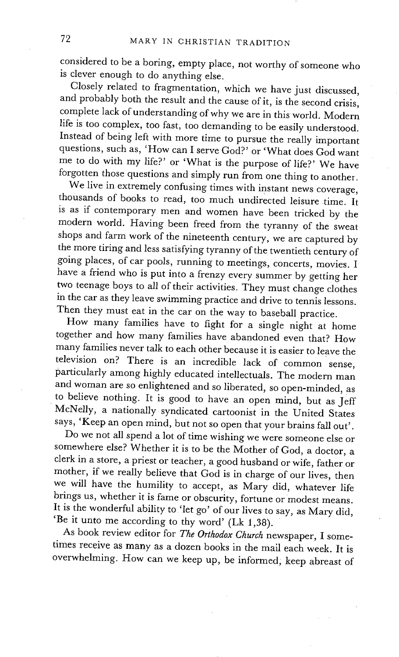considered to be a boring, empty place, not worthy of someone who is clever enough to do anything else.

Closely related to fragmentation, which we have just discussed, and probably both the result and the cause of it, is the second crisis, complete lack of understanding of why we are in this world. Modern life is too complex, too fast, too demanding to be easily understood. Instead of being left with more time to pursue the really important questions, such as, 'How can I serve God?' or 'What does God want me to do with my life?' or 'What is the purpose of life?' We have forgotten those questions and simply run from one thing to another.

We live in extremely confusing times with instant news coverage, thousands of books to read, too much undirected leisure time. It is as if contemporary men and women have been tricked by the modern world. Having been freed from the tyranny of the sweat shops and farm work of the nineteenth century, we are captured by the more tiring and less satisfying tyranny of the twentieth century of going places, of car pools, running to meetings, concerts, movies. I have a friend who is put into a frenzy every summer by getting her two teenage boys to all of their activities. They must change clothes in the car as they leave swimming practice and drive to tennis lessons. Then they must eat in the car on the way to baseball practice.

How many families have to fight for a single night at home together and how many families have abandoned even that? How many families never talk to each other because it is easier to leave the television on? There is an incredible lack of common sense, particularly among highly educated intellectuals. The modern man and woman are so enlightened and so liberated, so open-minded, as to believe nothing. It is good to have an open mind, but as jeff McNeUy, a nationally syndicated cartoonist in the United States says, 'Keep an open mind, but not so open that your brains fall out'.

Do we not all spend a lot of time wishing we were someone else or somewhere else? Whether it is to be the Mother of God, a doctor, a clerk in a store, a priest or teacher, a good husband or wife, father or mother, if we really believe that God is in charge of our lives, then we will have the humility to accept, as Mary did, whatever life brings us, whether it is fame or obscurity, fortune or modest means. It is the wonderful ability to 'let go' of our lives to say, as Mary did, 'Be it unto me according to thy word' (Lk 1,38).

As book review editor for *The Orthodox Church* newspaper, I sometimes receive as many as a dozen books in the mail each week. It is overwhelming. How can we keep up, be informed; keep abreast of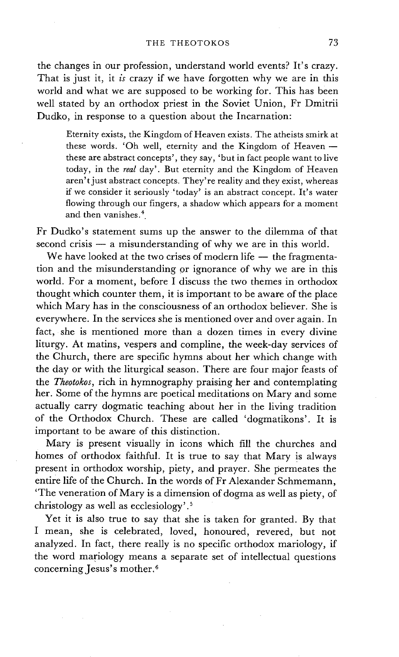the changes in our profession, understand world events? It's crazy. That is just it, it *is* crazy if we have forgotten why we are in this world and what we are supposed to be working for. This has been well stated by an orthodox priest in the Soviet Union, Fr Dmitrii Dudko, in response to a question about the Incarnation:

Eternity exists, the Kingdom of Heaven exists. The atheists smirk at these words. 'Oh well, eternity and the Kingdom of Heaven  $$ these are abstract concepts', they say, 'but in fact people want to live today, in the *real* day'. But eternity and the Kingdom of Heaven aren't just abstract concepts. They're reality and they exist, whereas if we consider it seriously 'today' is an abstract concept. It's water flowing through our fingers, a shadow which appears for a moment and then vanishes. 4.

Fr Dudko's statement sums up the answer to the dilemma of that  $second crisis - a misunderstanding of why we are in this world.$ 

We have looked at the two crises of modern life  $-$  the fragmentation and the misunderstanding or ignorance of why we are in this world. For a moment, before I discuss the two themes in orthodox thought which counter them, it is important to be aware of the place which Mary has in the consciousness of an orthodox believer. She is everywhere. In the services she is mentioned over and over again. In fact, she is mentioned more than a dozen times in every divine liturgy. At matins, vespers and compline, the week-day services of the Church, there are specific hymns about her which change with the day or with the liturgical season. There are four major feasts of the *Theotokos,* rich in hymnography praising her and contemplating her. Some of the hymns are poetical meditations on Mary and some actually carry dogmatic teaching about her in the living tradition of the Orthodox Church. These are called 'dogmatikons'. It is important to be aware of this distinction.

Mary is present visually in icons which fill the churches and homes of orthodox faithful. It is true to say that Mary is always present in orthodox worship, piety, and prayer. She permeates the entire life of the Church. In the words of Fr Alexander Schmemann, 'The veneration of Mary is a dimension of dogma as well as piety, of christology as well as ecclesiology'. 5

Yet it is also true to say that she is taken for granted. By that I mean, she is celebrated, loved, honoured, revered, but not analyzed. In fact, there really is no specific orthodox mariology, if the word mariology means a separate set of intellectual questions concerning Jesus's mother. 6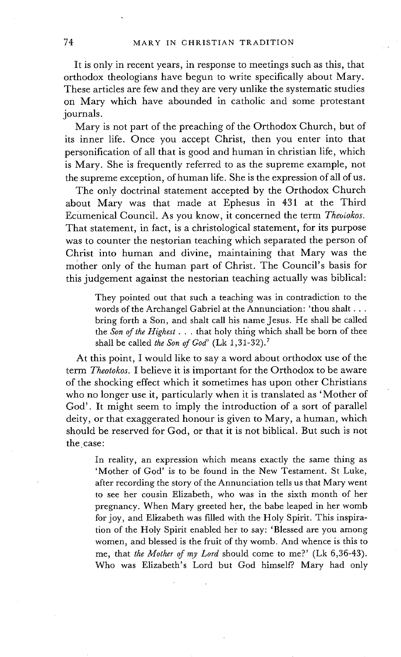It is only in recent years, in response to meetings such as this, that orthodox theologians have begun to write specifically about Mary. These articles are few and they are very unlike the systematic studies on Mary which have abounded in catholic and some protestant journals.

Mary is not part of the preaching of the Orthodox Church, but of its inner life. Once you accept Christ, then you enter into that personification of all that is good and human in christian life, which is Mary. She is frequently referred to as the supreme example, not the supreme exception, of human life. She is the expression of all of us.

The only doctrinal statement accepted by the Orthodox Church about Mary was that made at Ephesus in 431 at the Third Ecumenical Council. As you know, it concerned the term *Theoiokos.*  That statement, in fact, is a christological statement, for its purpose was to counter the nestorian teaching which separated the person of Christ into human and divine, maintaining that Mary was the mother only of the human part of Christ. The Council's basis for this judgement against the nestorian teaching actually was biblical:

> They pointed out that such a teaching was in contradiction to the words of the Archangel Gabriel at the Annunciation: 'thou shalt... bring forth a Son, and shalt call his name Jesus. He shall be called the *Son of the Highest...* that holy thing which shall be born of thee shall be called the Son of God'  $(Lk\ 1,31-32).$ <sup>7</sup>

At this point, I would like to say a word about orthodox use of the term *Theotokos.* I believe it is important for the Orthodox to be aware of the shocking effect which it sometimes has upon other Christians who no longer use it, particularly when it is translated as 'Mother of God'. It might seem to imply the introduction of a sort of parallel deity, or that exaggerated honour is given to Mary, a human, which should be reserved for God, or that it is not biblical. But such is not the case:

In reality, an expression which means exactly the same thing as 'Mother of God' is to be found in the New Testament. St Luke, after recording the story of the Annunciation tells us that Mary went to see her cousin Elizabeth, who was in the sixth month of her pregnancy. When Mary greeted her, the babe leaped in her womb for joy, and Elizabeth was filled with the Holy Spirit. This inspiration of the Holy Spirit enabled her to say: 'Blessed are you among women, and blessed is the fruit of thy womb. And whence is this to me, that *the Mother of my Lord* should come to me?' (Lk 6,36-43). Who was Elizabeth's Lord but God himself?. Mary had only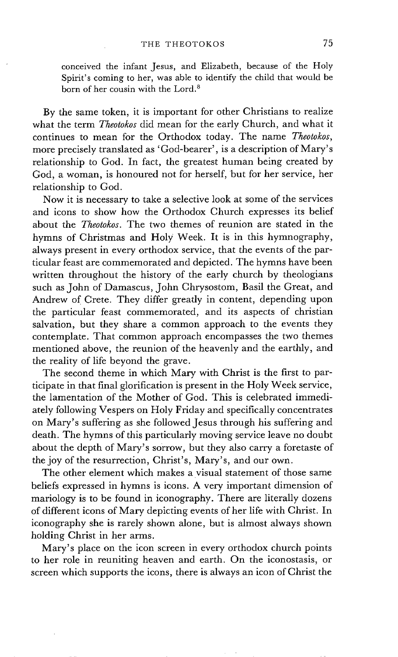conceived the infant Jesus, and Elizabeth, because of the Holy Spirit's coming to her, was able to identify the child that would be born of her cousin with the Lord. 8

By the same token, it is important for other Christians to realize what the term *Theotokos* did mean for the early Church, and what it continues to mean for the Orthodox today. The name *Theolokos,*  more precisely translated as 'God-bearer', is a description of Mary's relationship to God. In fact, the greatest human being created by God, a woman, is honoured not for herself, but for her service, her relationship to God.

Now it is necessary to take a selective look at some of the services and icons to show how the Orthodox Church expresses its belief about the *Theotokos.* The two themes of reunion are stated in the hymns of Christmas and Holy Week. It is in this hymnography, always present in every orthodox service, that the events of the particular feast are commemorated and depicted. The hymns have been written throughout the history of the early church by theologians such as John of Damascus, John Chrysostom, Basil the Great, and Andrew of Crete. They differ greatly in content, depending upon the particular feast commemorated, and its aspects of christian salvation, but they share a common approach to the events they contemplate. That common approach encompasses the two themes mentioned above, the reunion of the heavenly and the earthly, and the reality of life beyond the grave.

The second theme in which Mary with Christ is the first to participate in that final glorification is present in the Holy Week service, the lamentation of the Mother of God. This is celebrated immediately following Vespers on Holy Friday and specifically concentrates on Mary's suffering as she followed Jesus through his suffering and death. The hymns of this particularly moving service leave no doubt about the depth of Mary's sorrow, but they also carry a foretaste of the joy of the resurrection, Christ's, Mary's, and our own.

The other element which makes a visual statement of those same beliefs expressed in hymns is icons. A very important dimension of mariology is to be found in iconography. There are literally dozens of different icons of Mary depicting events of her life with Christ. In iconography she is rarely shown alone, but is almost always shown holding Christ in her arms.

Mary's place on the icon screen in every orthodox church points to her role in reuniting heaven and earth. On the iconostasis, or screen which supports the icons, there is always an icon of Christ the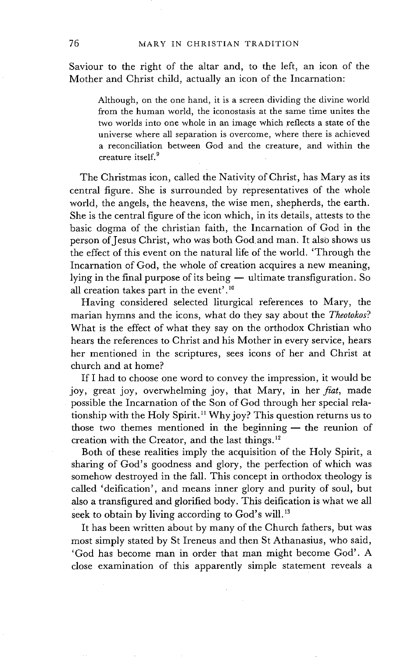Saviour to the right of the altar and, to the left, an icon of the Mother and Christ child, actually an icon of the Incarnation:

Although, on the one hand, it is a screen dividing the divine world from the human world, the iconostasis at the same time unites the two worlds into one whole in an image which reflects a state of the universe where all separation is overcome, where there is achieved a reconciliation between God and the creature, and within the creature itself.<sup>9</sup>

The Christmas icon, called the Nativity of Christ, has Mary as its central figure. She is surrounded by representatives of the whole world, the angels, the heavens, the wise men, shepherds, the earth. She is the central figure of the icon which, in its details, attests to the basic dogma of the christian faith, the Incarnation of God in the person of Jesus Christ, who was both God and man. It also shows us the effect of this event on the natural life of the world. 'Through the Incarnation of God, the whole of creation acquires a new meaning, lying in the final purpose of its being - ultimate transfiguration. So all creation takes part in the event'. 1°

Having considered selected liturgical references to Mary, the marian hymns and the icons, what do they say about the *Theotokos?*  What is the effect of what they say on the orthodox Christian who hears the references to Christ and his Mother in every service, hears her mentioned in the scriptures, sees icons of her and Christ at church and at home?

If I had to choose one word to convey the impression, it would be joy, great joy, overwhelming joy, that Mary, in her *fiat,* made possible the Incarnation of the Son of God through her special relationship with the Holy Spirit.<sup>11</sup> Why joy? This question returns us to those two themes mentioned in the beginning  $-$  the reunion of creation with the Creator, and the last things. $^{12}$ 

Both of these realities imply the acquisition of the Holy Spirit, a sharing of God's goodness and glory, the perfection of which was somehow destroyed in the fall. This concept in orthodox theology is called "deification', and means inner glory and purity of soul, but also a transfigured and glorified body. This deification is what we all seek to obtain by living according to God's will.<sup>13</sup>

It has been written about by many of the Church fathers, but was most simply stated by St Ireneus and then St Athanasius, who said, 'God has become man in order that man might become God'. A close examination of this apparently simple statement reveals a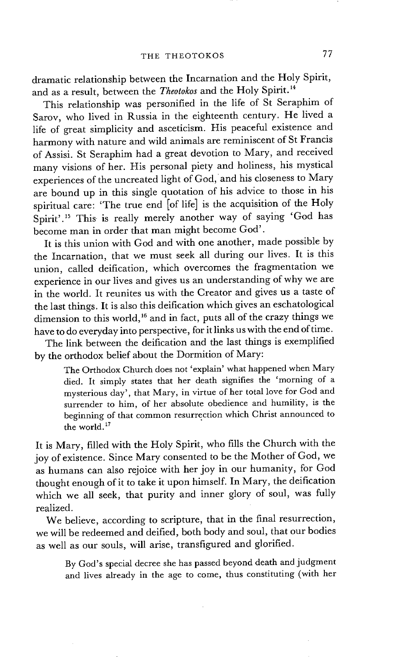dramatic relationship between the Incarnation and the Holy Spirit, and as a result, between the *Theotokos* and the Holy Spirit.<sup>14</sup>

This relationship was personified in the life of St Seraphim of Sarov, who lived in Russia in the eighteenth century. He lived a life of great simplicity and asceticism. His peaceful existence and harmony with nature and wild animals are reminiscent of St Francis of Assisi. St Seraphim had a great devotion to Mary, and received many visions of her. His personal piety and holiness, his mystical experiences of the uncreated light of God, and his closeness to Mary are bound up in this single quotation of his advice to those in his spiritual care: 'The true end [of life] is the acquisition of the Holy Spirit'.<sup>15</sup> This is really merely another way of saying 'God has become man in order that man might become God'.

It is this union with God and with one another, made possible by the Incarnation, that we must seek all during our lives. It is this union, called deification, which overcomes the fragmentation we experience in our lives and gives us an understanding of why we are in the world. It reunites us with the Creator and gives us a taste of the last things. It is also this deification which gives an eschatological dimension to this world,<sup>16</sup> and in fact, puts all of the crazy things we have to do everyday into perspective, for it links us with the end of time.

The link between the deification and the last things is exemplified by the orthodox belief about the Dormition of Mary:

The Orthodox Church does not 'explain' what happened when Mary died. It simply states that her death signifies the 'morning of a mysterious day', that Mary, in virtue of her total love for God and surrender to him, of her absolute obedience and humility, is the beginning of that common resurrection which Christ announced to the world.<sup>17</sup>

It is Mary, filled with the Holy Spirit, who fills the Church with the joy of existence. Since Mary consented to be the Mother of God, we as humans can also rejoice with her joy in our humanity, for God thought enough of it to take it upon himself. In Mary, the deification which we all seek, that purity and inner glory of soul, was fully realized.

We believe, according to scripture, that in the final resurrection, we will be redeemed and deified, both body and soul, that our bodies as well as our souls, will arise, transfigured and glorified.

By God's special decree she has passed beyond death and judgment and lives already in the age to come, thus constituting (with her